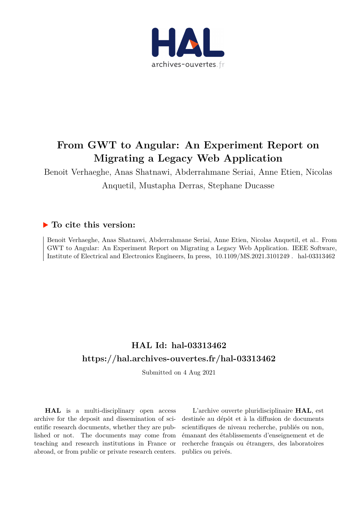

# **From GWT to Angular: An Experiment Report on Migrating a Legacy Web Application**

Benoit Verhaeghe, Anas Shatnawi, Abderrahmane Seriai, Anne Etien, Nicolas Anquetil, Mustapha Derras, Stephane Ducasse

# **To cite this version:**

Benoit Verhaeghe, Anas Shatnawi, Abderrahmane Seriai, Anne Etien, Nicolas Anquetil, et al.. From GWT to Angular: An Experiment Report on Migrating a Legacy Web Application. IEEE Software, Institute of Electrical and Electronics Engineers, In press,  $10.1109/MS.2021.3101249$ . hal-03313462

# **HAL Id: hal-03313462 <https://hal.archives-ouvertes.fr/hal-03313462>**

Submitted on 4 Aug 2021

**HAL** is a multi-disciplinary open access archive for the deposit and dissemination of scientific research documents, whether they are published or not. The documents may come from teaching and research institutions in France or abroad, or from public or private research centers.

L'archive ouverte pluridisciplinaire **HAL**, est destinée au dépôt et à la diffusion de documents scientifiques de niveau recherche, publiés ou non, émanant des établissements d'enseignement et de recherche français ou étrangers, des laboratoires publics ou privés.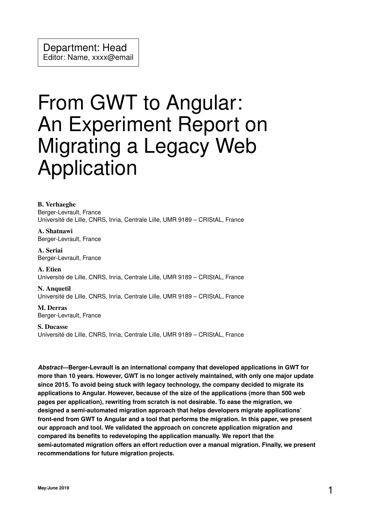# From GWT to Angular: An Experiment Report on Migrating a Legacy Web Application

B. Verhaeghe Berger-Levrault, France Université de Lille, CNRS, Inria, Centrale Lille, UMR 9189 – CRIStAL, France

A. Shatnawi Berger-Levrault, France

A. Seriai Berger-Levrault, France

A. Etien Université de Lille, CNRS, Inria, Centrale Lille, UMR 9189 – CRIStAL, France

N. Anquetil Université de Lille, CNRS, Inria, Centrale Lille, UMR 9189 – CRIStAL, France

M. Derras Berger-Levrault, France

S. Ducasse Université de Lille, CNRS, Inria, Centrale Lille, UMR 9189 – CRIStAL, France

*Abstract***—Berger-Levrault is an international company that developed applications in GWT for more than 10 years. However, GWT is no longer actively maintained, with only one major update since 2015. To avoid being stuck with legacy technology, the company decided to migrate its applications to Angular. However, because of the size of the applications (more than 500 web pages per application), rewriting from scratch is not desirable. To ease the migration, we designed a semi-automated migration approach that helps developers migrate applications' front-end from GWT to Angular and a tool that performs the migration. In this paper, we present our approach and tool. We validated the approach on concrete application migration and compared its benefits to redeveloping the application manually. We report that the semi-automated migration offers an effort reduction over a manual migration. Finally, we present recommendations for future migration projects.**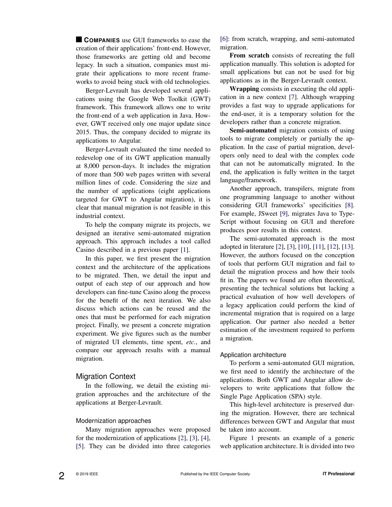**COMPANIES** use GUI frameworks to ease the creation of their applications' front-end. However, those frameworks are getting old and become legacy. In such a situation, companies must migrate their applications to more recent frameworks to avoid being stuck with old technologies.

Berger-Levrault has developed several applications using the Google Web Toolkit (GWT) framework. This framework allows one to write the front-end of a web application in Java. However, GWT received only one major update since 2015. Thus, the company decided to migrate its applications to Angular.

Berger-Levrault evaluated the time needed to redevelop one of its GWT application manually at 8,000 person-days. It includes the migration of more than 500 web pages written with several million lines of code. Considering the size and the number of applications (eight applications targeted for GWT to Angular migration), it is clear that manual migration is not feasible in this industrial context.

To help the company migrate its projects, we designed an iterative semi-automated migration approach. This approach includes a tool called Casino described in a previous paper [1].

In this paper, we first present the migration context and the architecture of the applications to be migrated. Then, we detail the input and output of each step of our approach and how developers can fine-tune Casino along the process for the benefit of the next iteration. We also discuss which actions can be reused and the ones that must be performed for each migration project. Finally, we present a concrete migration experiment. We give figures such as the number of migrated UI elements, time spent, *etc.*, and compare our approach results with a manual migration.

# Migration Context

In the following, we detail the existing migration approaches and the architecture of the applications at Berger-Levrault.

#### Modernization approaches

Many migration approaches were proposed for the modernization of applications [2], [3], [4], [5]. They can be divided into three categories [6]: from scratch, wrapping, and semi-automated migration.

From scratch consists of recreating the full application manually. This solution is adopted for small applications but can not be used for big applications as in the Berger-Levrault context.

Wrapping consists in executing the old application in a new context [7]. Although wrapping provides a fast way to upgrade applications for the end-user, it is a temporary solution for the developers rather than a concrete migration.

Semi-automated migration consists of using tools to migrate completely or partially the application. In the case of partial migration, developers only need to deal with the complex code that can not be automatically migrated. In the end, the application is fully written in the target language/framework.

Another approach, transpilers, migrate from one programming language to another without considering GUI frameworks' specificities [8]. For example, JSweet [9], migrates Java to Type-Script without focusing on GUI and therefore produces poor results in this context.

The semi-automated approach is the most adopted in literature [2], [3], [10], [11], [12], [13]. However, the authors focused on the conception of tools that perform GUI migration and fail to detail the migration process and how their tools fit in. The papers we found are often theoretical, presenting the technical solutions but lacking a practical evaluation of how well developers of a legacy application could perform the kind of incremental migration that is required on a large application. Our partner also needed a better estimation of the investment required to perform a migration.

## Application architecture

To perform a semi-automated GUI migration, we first need to identify the architecture of the applications. Both GWT and Angular allow developers to write applications that follow the Single Page Application (SPA) style.

This high-level architecture is preserved during the migration. However, there are technical differences between GWT and Angular that must be taken into account.

Figure 1 presents an example of a generic web application architecture. It is divided into two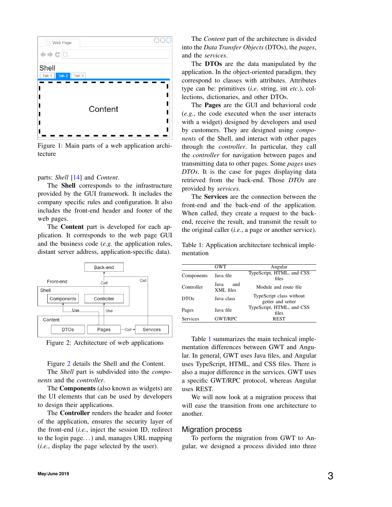

Figure 1: Main parts of a web application architecture

parts: *Shell* [14] and *Content*.

The Shell corresponds to the infrastructure provided by the GUI framework. It includes the company specific rules and configuration. It also includes the front-end header and footer of the web pages.

The Content part is developed for each application. It corresponds to the web page GUI and the business code (*e.g.* the application rules, distant server address, application-specific data).





Figure 2 details the Shell and the Content.

The *Shell* part is subdivided into the *components* and the *controller*.

The Components (also known as widgets) are the UI elements that can be used by developers to design their applications.

The Controller renders the header and footer of the application, ensures the security layer of the front-end (*i.e.*, inject the session ID, redirect to the login page. . . ) and, manages URL mapping (*i.e.*, display the page selected by the user).

The *Content* part of the architecture is divided into the *Data Transfer Objects* (DTOs), the *pages*, and the *services*.

The **DTOs** are the data manipulated by the application. In the object-oriented paradigm, they correspond to classes with attributes. Attributes type can be: primitives (*i.e.* string, int *etc.*), collections, dictionaries, and other DTOs.

The Pages are the GUI and behavioral code (*e.g.*, the code executed when the user interacts with a widget) designed by developers and used by customers. They are designed using *components* of the Shell, and interact with other pages through the *controller*. In particular, they call the *controller* for navigation between pages and transmitting data to other pages. Some *pages* uses *DTOs*. It is the case for pages displaying data retrieved from the back-end. Those *DTOs* are provided by *services*.

The Services are the connection between the front-end and the back-end of the application. When called, they create a request to the backend, receive the result, and transmit the result to the original caller (*i.e.*, a page or another service).

Table 1: Application architecture technical implementation

|                  | GWT                      | Angular                                       |
|------------------|--------------------------|-----------------------------------------------|
| Components       | Java file                | TypeScript, HTML, and CSS<br>files            |
| Controller       | and<br>Java<br>XML files | Module and route file                         |
| DTO <sub>s</sub> | Java class               | TypeScript class without<br>getter and setter |
| Pages            | Java file                | TypeScript, HTML, and CSS<br>files            |
| Services         | <b>GWT/RPC</b>           | <b>REST</b>                                   |

Table 1 summarizes the main technical implementation differences between GWT and Angular. In general, GWT uses Java files, and Angular uses TypeScript, HTML, and CSS files. There is also a major difference in the services. GWT uses a specific GWT/RPC protocol, whereas Angular uses REST.

We will now look at a migration process that will ease the transition from one architecture to another.

# Migration process

To perform the migration from GWT to Angular, we designed a process divided into three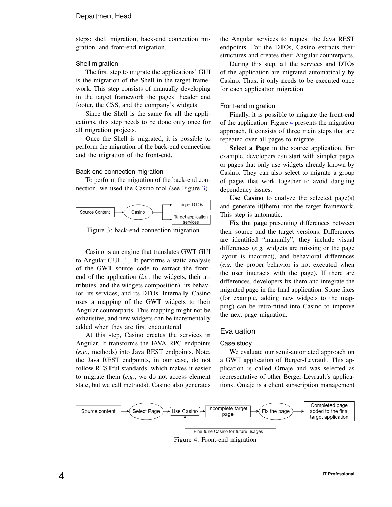# Department Head

steps: shell migration, back-end connection migration, and front-end migration.

## Shell migration

The first step to migrate the applications' GUI is the migration of the Shell in the target framework. This step consists of manually developing in the target framework the pages' header and footer, the CSS, and the company's widgets.

Since the Shell is the same for all the applications, this step needs to be done only once for all migration projects.

Once the Shell is migrated, it is possible to perform the migration of the back-end connection and the migration of the front-end.

#### Back-end connection migration

To perform the migration of the back-end connection, we used the Casino tool (see Figure 3).



Figure 3: back-end connection migration

Casino is an engine that translates GWT GUI to Angular GUI [1]. It performs a static analysis of the GWT source code to extract the frontend of the application (*i.e.*, the widgets, their attributes, and the widgets composition), its behavior, its services, and its DTOs. Internally, Casino uses a mapping of the GWT widgets to their Angular counterparts. This mapping might not be exhaustive, and new widgets can be incrementally added when they are first encountered.

At this step, Casino creates the services in Angular. It transforms the JAVA RPC endpoints (*e.g.*, methods) into Java REST endpoints. Note, the Java REST endpoints, in our case, do not follow RESTful standards, which makes it easier to migrate them (*e.g.*, we do not access element state, but we call methods). Casino also generates

the Angular services to request the Java REST endpoints. For the DTOs, Casino extracts their structures and creates their Angular counterparts.

During this step, all the services and DTOs of the application are migrated automatically by Casino. Thus, it only needs to be executed once for each application migration.

#### Front-end migration

Finally, it is possible to migrate the front-end of the application. Figure 4 presents the migration approach. It consists of three main steps that are repeated over all pages to migrate.

Select a Page in the source application. For example, developers can start with simpler pages or pages that only use widgets already known by Casino. They can also select to migrate a group of pages that work together to avoid dangling dependency issues.

Use Casino to analyze the selected page $(s)$ and generate it(them) into the target framework. This step is automatic.

Fix the page presenting differences between their source and the target versions. Differences are identified "manually", they include visual differences (*e.g.* widgets are missing or the page layout is incorrect), and behavioral differences (*e.g.* the proper behavior is not executed when the user interacts with the page). If there are differences, developers fix them and integrate the migrated page in the final application. Some fixes (for example, adding new widgets to the mapping) can be retro-fitted into Casino to improve the next page migration.

# Evaluation

#### Case study

We evaluate our semi-automated approach on a GWT application of Berger-Levrault. This application is called Omaje and was selected as representative of other Berger-Levrault's applications. Omaje is a client subscription management

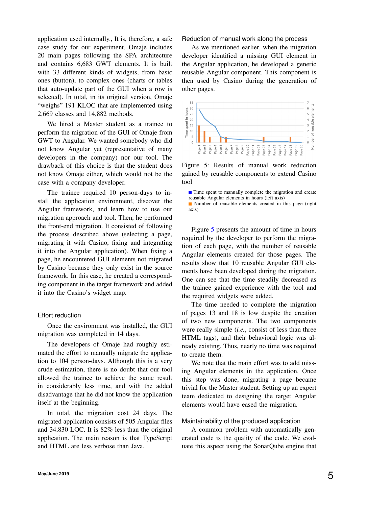application used internally., It is, therefore, a safe case study for our experiment. Omaje includes 20 main pages following the SPA architecture and contains 6,683 GWT elements. It is built with 33 different kinds of widgets, from basic ones (button), to complex ones (charts or tables that auto-update part of the GUI when a row is selected). In total, in its original version, Omaje "weighs" 191 KLOC that are implemented using 2,669 classes and 14,882 methods.

We hired a Master student as a trainee to perform the migration of the GUI of Omaje from GWT to Angular. We wanted somebody who did not know Angular yet (representative of many developers in the company) nor our tool. The drawback of this choice is that the student does not know Omaje either, which would not be the case with a company developer.

The trainee required 10 person-days to install the application environment, discover the Angular framework, and learn how to use our migration approach and tool. Then, he performed the front-end migration. It consisted of following the process described above (selecting a page, migrating it with Casino, fixing and integrating it into the Angular application). When fixing a page, he encountered GUI elements not migrated by Casino because they only exist in the source framework. In this case, he created a corresponding component in the target framework and added it into the Casino's widget map.

#### Effort reduction

Once the environment was installed, the GUI migration was completed in 14 days.

The developers of Omaje had roughly estimated the effort to manually migrate the application to 104 person-days. Although this is a very crude estimation, there is no doubt that our tool allowed the trainee to achieve the same result in considerably less time, and with the added disadvantage that he did not know the application itself at the beginning.

In total, the migration cost 24 days. The migrated application consists of 505 Angular files and 34,830 LOC. It is 82% less than the original application. The main reason is that TypeScript and HTML are less verbose than Java.

Reduction of manual work along the process

As we mentioned earlier, when the migration developer identified a missing GUI element in the Angular application, he developed a generic reusable Angular component. This component is then used by Casino during the generation of other pages.



Figure 5: Results of manual work reduction gained by reusable components to extend Casino tool

■ Time spent to manually complete the migration and create reusable Angular elements in hours (left axis)

■ Number of reusable elements created in this page (right axis)

Figure 5 presents the amount of time in hours required by the developer to perform the migration of each page, with the number of reusable Angular elements created for those pages. The results show that 10 reusable Angular GUI elements have been developed during the migration. One can see that the time steadily decreased as the trainee gained experience with the tool and the required widgets were added.

The time needed to complete the migration of pages 13 and 18 is low despite the creation of two new components. The two components were really simple (*i.e.*, consist of less than three HTML tags), and their behavioral logic was already existing. Thus, nearly no time was required to create them.

We note that the main effort was to add missing Angular elements in the application. Once this step was done, migrating a page became trivial for the Master student. Setting up an expert team dedicated to designing the target Angular elements would have eased the migration.

#### Maintainability of the produced application

A common problem with automatically generated code is the quality of the code. We evaluate this aspect using the SonarQube engine that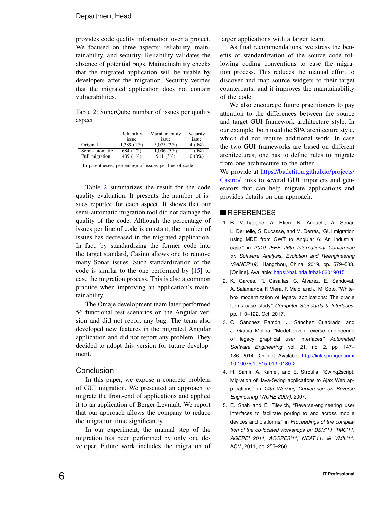# Department Head

provides code quality information over a project. We focused on three aspects: reliability, maintainability, and security. Reliability validates the absence of potential bugs. Maintainability checks that the migrated application will be usable by developers after the migration. Security verifies that the migrated application does not contain vulnerabilities.

Table 2: SonarQube number of issues per quality aspect

|                | Reliability<br>issue | Maintainability<br>issue | Security<br>issue |
|----------------|----------------------|--------------------------|-------------------|
| Original       | $1.389(1\%)$         | 5,075 (3%)               | $4(0\%)$          |
| Semi-automatic | 684 (1%)             | 1,096(5%)                | $1(0\%)$          |
| Full migration | 409 (1%)             | 911(3%)                  | $0(0\%)$          |

In parentheses: percentage of issues per line of code

Table 2 summarizes the result for the code quality evaluation. It presents the number of issues reported for each aspect. It shows that our semi-automatic migration tool did not damage the quality of the code. Although the percentage of issues per line of code is constant, the number of issues has decreased in the migrated application. In fact, by standardizing the former code into the target standard, Casino allows one to remove many Sonar issues. Such standardization of the code is similar to the one performed by [15] to ease the migration process. This is also a common practice when improving an application's maintainability.

The Omaje development team later performed 56 functional test scenarios on the Angular version and did not report any bug. The team also developed new features in the migrated Angular application and did not report any problem. They decided to adopt this version for future development.

# Conclusion

In this paper, we expose a concrete problem of GUI migration. We presented an approach to migrate the front-end of applications and applied it to an application of Berger-Levrault. We report that our approach allows the company to reduce the migration time significantly.

In our experiment, the manual step of the migration has been performed by only one developer. Future work includes the migration of larger applications with a larger team.

As final recommendations, we stress the benefits of standardization of the source code following coding conventions to ease the migration process. This reduces the manual effort to discover and map source widgets to their target counterparts, and it improves the maintainability of the code.

We also encourage future practitioners to pay attention to the differences between the source and target GUI framework architecture style. In our example, both used the SPA architecture style, which did not require additional work. In case the two GUI frameworks are based on different architectures, one has to define rules to migrate from one architecture to the other.

We provide at [https://badetitou.github.io/projects/](https://badetitou.github.io/projects/Casino/) [Casino/](https://badetitou.github.io/projects/Casino/) links to several GUI importers and generators that can help migrate applications and provides details on our approach.

# **REFERENCES**

- 1. B. Verhaeghe, A. Etien, N. Anquetil, A. Seriai, L. Deruelle, S. Ducasse, and M. Derras, "GUI migration using MDE from GWT to Angular 6: An industrial case," in *2019 IEEE 26th International Conference on Software Analysis, Evolution and Reengineering (SANER'19)*, Hangzhou, China, 2019, pp. 579–583. [Online]. Available: <https://hal.inria.fr/hal-02019015>
- 2. K. Garcés, R. Casallas, C. Álvarez, E. Sandoval, A. Salamanca, F. Viera, F. Melo, and J. M. Soto, "Whitebox modernization of legacy applications: The oracle forms case study," *Computer Standards & Interfaces*, pp. 110–122, Oct. 2017.
- 3. O. Sánchez Ramón, J. Sánchez Cuadrado, and J. García Molina, "Model-driven reverse engineering of legacy graphical user interfaces," *Automated Software Engineering*, vol. 21, no. 2, pp. 147– 186, 2014. [Online]. Available: [http://link.springer.com/](http://link.springer.com/10.1007/s10515-013-0130-2) [10.1007/s10515-013-0130-2](http://link.springer.com/10.1007/s10515-013-0130-2)
- 4. H. Samir, A. Kamel, and E. Stroulia, "Swing2script: Migration of Java-Swing applications to Ajax Web applications," in *14th Working Conference on Reverse Engineering (WCRE 2007)*, 2007.
- 5. E. Shah and E. Tilevich, "Reverse-engineering user interfaces to facilitate porting to and across mobile devices and platforms," in *Proceedings of the compilation of the co-located workshops on DSM'11, TMC'11, AGERE! 2011, AOOPES'11, NEAT'11, \& VMIL'11*. ACM, 2011, pp. 255–260.